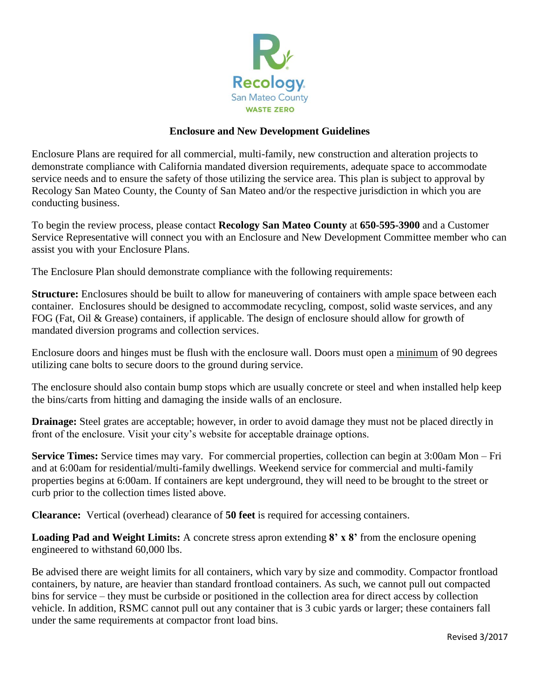

## **Enclosure and New Development Guidelines**

Enclosure Plans are required for all commercial, multi-family, new construction and alteration projects to demonstrate compliance with California mandated diversion requirements, adequate space to accommodate service needs and to ensure the safety of those utilizing the service area. This plan is subject to approval by Recology San Mateo County, the County of San Mateo and/or the respective jurisdiction in which you are conducting business.

To begin the review process, please contact **Recology San Mateo County** at **650-595-3900** and a Customer Service Representative will connect you with an Enclosure and New Development Committee member who can assist you with your Enclosure Plans.

The Enclosure Plan should demonstrate compliance with the following requirements:

**Structure:** Enclosures should be built to allow for maneuvering of containers with ample space between each container. Enclosures should be designed to accommodate recycling, compost, solid waste services, and any FOG (Fat, Oil & Grease) containers, if applicable. The design of enclosure should allow for growth of mandated diversion programs and collection services.

Enclosure doors and hinges must be flush with the enclosure wall. Doors must open a minimum of 90 degrees utilizing cane bolts to secure doors to the ground during service.

The enclosure should also contain bump stops which are usually concrete or steel and when installed help keep the bins/carts from hitting and damaging the inside walls of an enclosure.

**Drainage:** Steel grates are acceptable; however, in order to avoid damage they must not be placed directly in front of the enclosure. Visit your city's website for acceptable drainage options.

**Service Times:** Service times may vary. For commercial properties, collection can begin at 3:00am Mon – Fri and at 6:00am for residential/multi-family dwellings. Weekend service for commercial and multi-family properties begins at 6:00am. If containers are kept underground, they will need to be brought to the street or curb prior to the collection times listed above.

**Clearance:** Vertical (overhead) clearance of **50 feet** is required for accessing containers.

**Loading Pad and Weight Limits:** A concrete stress apron extending **8' x 8'** from the enclosure opening engineered to withstand 60,000 lbs.

Be advised there are weight limits for all containers, which vary by size and commodity. Compactor frontload containers, by nature, are heavier than standard frontload containers. As such, we cannot pull out compacted bins for service – they must be curbside or positioned in the collection area for direct access by collection vehicle. In addition, RSMC cannot pull out any container that is 3 cubic yards or larger; these containers fall under the same requirements at compactor front load bins.